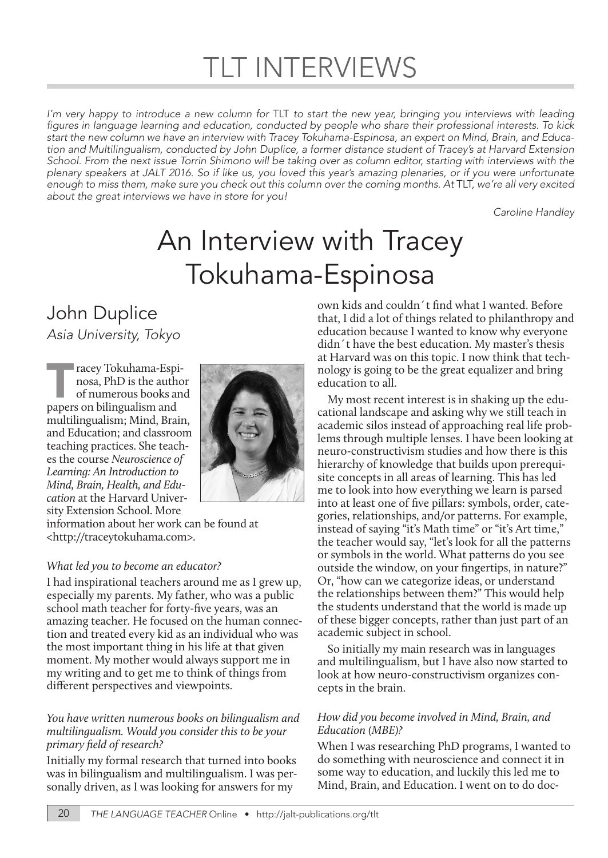# TLT INTERVIEWS

*I'm very happy to introduce a new column for* TLT *to start the new year, bringing you interviews with leading*  figures in language learning and education, conducted by people who share their professional interests. To kick *start the new column we have an interview with Tracey Tokuhama-Espinosa, an expert on Mind, Brain, and Education and Multilingualism, conducted by John Duplice, a former distance student of Tracey's at Harvard Extension School. From the next issue Torrin Shimono will be taking over as column editor, starting with interviews with the plenary speakers at JALT 2016. So if like us, you loved this year's amazing plenaries, or if you were unfortunate enough to miss them, make sure you check out this column over the coming months. At* TLT, *we're all very excited about the great interviews we have in store for you!*

*Caroline Handley*

# An Interview with Tracey Tokuhama-Espinosa

# John Duplice

*Asia University, Tokyo*

Tracey Tokuhama-Espinosa, PhD is the author of numerous books an papers on bilingualism and nosa, PhD is the author of numerous books and multilingualism; Mind, Brain, and Education; and classroom teaching practices. She teaches the course *Neuroscience of Learning: An Introduction to Mind, Brain, Health, and Education* at the Harvard University Extension School. More



information about her work can be found at <http://traceytokuhama.com>.

### *What led you to become an educator?*

I had inspirational teachers around me as I grew up, especially my parents. My father, who was a public school math teacher for forty-five years, was an amazing teacher. He focused on the human connection and treated every kid as an individual who was the most important thing in his life at that given moment. My mother would always support me in my writing and to get me to think of things from different perspectives and viewpoints.

#### *You have written numerous books on bilingualism and multilingualism. Would you consider this to be your primary field of research?*

Initially my formal research that turned into books was in bilingualism and multilingualism. I was personally driven, as I was looking for answers for my

own kids and couldn´t find what I wanted. Before that, I did a lot of things related to philanthropy and education because I wanted to know why everyone didn´t have the best education. My master's thesis at Harvard was on this topic. I now think that technology is going to be the great equalizer and bring education to all.

My most recent interest is in shaking up the educational landscape and asking why we still teach in academic silos instead of approaching real life problems through multiple lenses. I have been looking at neuro-constructivism studies and how there is this hierarchy of knowledge that builds upon prerequisite concepts in all areas of learning. This has led me to look into how everything we learn is parsed into at least one of five pillars: symbols, order, categories, relationships, and/or patterns. For example, instead of saying "it's Math time" or "it's Art time," the teacher would say, "let's look for all the patterns or symbols in the world. What patterns do you see outside the window, on your fingertips, in nature?" Or, "how can we categorize ideas, or understand the relationships between them?" This would help the students understand that the world is made up of these bigger concepts, rather than just part of an academic subject in school.

So initially my main research was in languages and multilingualism, but I have also now started to look at how neuro-constructivism organizes concepts in the brain.

### *How did you become involved in Mind, Brain, and Education (MBE)?*

When I was researching PhD programs, I wanted to do something with neuroscience and connect it in some way to education, and luckily this led me to Mind, Brain, and Education. I went on to do doc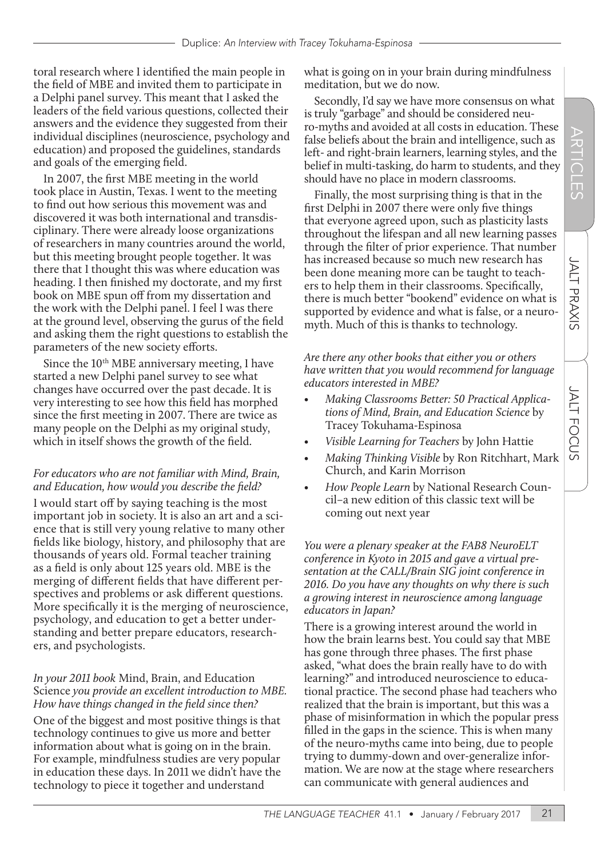toral research where I identified the main people in the field of MBE and invited them to participate in a Delphi panel survey. This meant that I asked the leaders of the field various questions, collected their answers and the evidence they suggested from their individual disciplines (neuroscience, psychology and education) and proposed the guidelines, standards and goals of the emerging field.

In 2007, the first MBE meeting in the world took place in Austin, Texas. I went to the meeting to find out how serious this movement was and discovered it was both international and transdisciplinary. There were already loose organizations of researchers in many countries around the world, but this meeting brought people together. It was there that I thought this was where education was heading. I then finished my doctorate, and my first book on MBE spun off from my dissertation and the work with the Delphi panel. I feel I was there at the ground level, observing the gurus of the field and asking them the right questions to establish the parameters of the new society efforts.

Since the  $10<sup>th</sup> MBE$  anniversary meeting, I have started a new Delphi panel survey to see what changes have occurred over the past decade. It is very interesting to see how this field has morphed since the first meeting in 2007. There are twice as many people on the Delphi as my original study, which in itself shows the growth of the field.

## *For educators who are not familiar with Mind, Brain, and Education, how would you describe the field?*

I would start off by saying teaching is the most important job in society. It is also an art and a science that is still very young relative to many other fields like biology, history, and philosophy that are thousands of years old. Formal teacher training as a field is only about 125 years old. MBE is the merging of different fields that have different perspectives and problems or ask different questions. More specifically it is the merging of neuroscience, psychology, and education to get a better understanding and better prepare educators, researchers, and psychologists.

*In your 2011 book* Mind, Brain, and Education Science *you provide an excellent introduction to MBE. How have things changed in the field since then?* One of the biggest and most positive things is that technology continues to give us more and better information about what is going on in the brain. For example, mindfulness studies are very popular in education these days. In 2011 we didn't have the technology to piece it together and understand

what is going on in your brain during mindfulness meditation, but we do now.

Secondly, I'd say we have more consensus on what is truly "garbage" and should be considered neuro-myths and avoided at all costs in education. These false beliefs about the brain and intelligence, such as left- and right-brain learners, learning styles, and the belief in multi-tasking, do harm to students, and they should have no place in modern classrooms.

Finally, the most surprising thing is that in the first Delphi in 2007 there were only five things that everyone agreed upon, such as plasticity lasts throughout the lifespan and all new learning passes through the filter of prior experience. That number has increased because so much new research has been done meaning more can be taught to teachers to help them in their classrooms. Specifically, there is much better "bookend" evidence on what is supported by evidence and what is false, or a neuromyth. Much of this is thanks to technology.

*Are there any other books that either you or others have written that you would recommend for language educators interested in MBE?*

- *• Making Classrooms Better: 50 Practical Applications of Mind, Brain, and Education Science* by Tracey Tokuhama-Espinosa
- *• Visible Learning for Teachers* by John Hattie
- *• Making Thinking Visible* by Ron Ritchhart, Mark Church, and Karin Morrison
- *• How People Learn* by National Research Council–a new edition of this classic text will be coming out next year

*You were a plenary speaker at the FAB8 NeuroELT conference in Kyoto in 2015 and gave a virtual presentation at the CALL/Brain SIG joint conference in 2016. Do you have any thoughts on why there is such a growing interest in neuroscience among language educators in Japan?* 

There is a growing interest around the world in how the brain learns best. You could say that MBE has gone through three phases. The first phase asked, "what does the brain really have to do with learning?" and introduced neuroscience to educational practice. The second phase had teachers who realized that the brain is important, but this was a phase of misinformation in which the popular press filled in the gaps in the science. This is when many of the neuro-myths came into being, due to people trying to dummy-down and over-generalize information. We are now at the stage where researchers can communicate with general audiences and

**JALT PRAXIS** 

**JALT FOCUS**